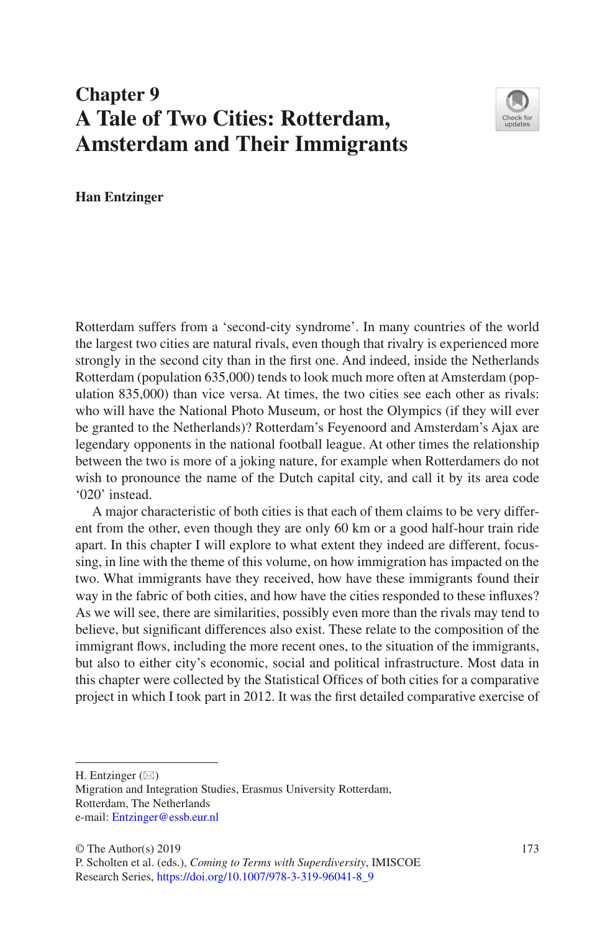# **Chapter 9 A Tale of Two Cities: Rotterdam, Amsterdam and Their Immigrants**



**Han Entzinger**

Rotterdam suffers from a 'second-city syndrome'. In many countries of the world the largest two cities are natural rivals, even though that rivalry is experienced more strongly in the second city than in the first one. And indeed, inside the Netherlands Rotterdam (population 635,000) tends to look much more often at Amsterdam (population 835,000) than vice versa. At times, the two cities see each other as rivals: who will have the National Photo Museum, or host the Olympics (if they will ever be granted to the Netherlands)? Rotterdam's Feyenoord and Amsterdam's Ajax are legendary opponents in the national football league. At other times the relationship between the two is more of a joking nature, for example when Rotterdamers do not wish to pronounce the name of the Dutch capital city, and call it by its area code '020' instead.

A major characteristic of both cities is that each of them claims to be very different from the other, even though they are only 60 km or a good half-hour train ride apart. In this chapter I will explore to what extent they indeed are different, focussing, in line with the theme of this volume, on how immigration has impacted on the two. What immigrants have they received, how have these immigrants found their way in the fabric of both cities, and how have the cities responded to these influxes? As we will see, there are similarities, possibly even more than the rivals may tend to believe, but significant differences also exist. These relate to the composition of the immigrant flows, including the more recent ones, to the situation of the immigrants, but also to either city's economic, social and political infrastructure. Most data in this chapter were collected by the Statistical Offices of both cities for a comparative project in which I took part in 2012. It was the first detailed comparative exercise of

H. Entzinger  $(\boxtimes)$ 

Migration and Integration Studies, Erasmus University Rotterdam, Rotterdam, The Netherlands e-mail: Entzinger@essb.eur.nl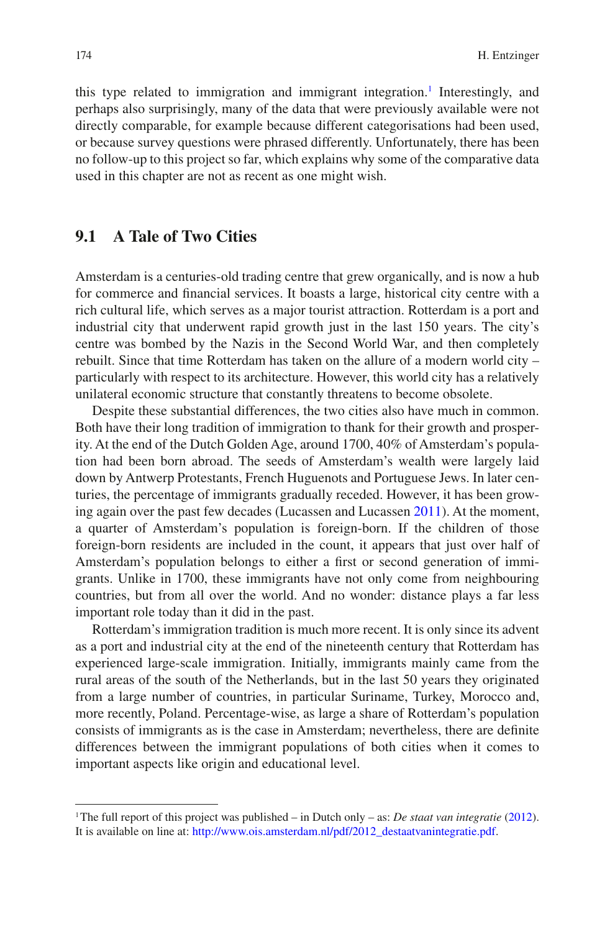this type related to immigration and immigrant integration.<sup>1</sup> Interestingly, and perhaps also surprisingly, many of the data that were previously available were not directly comparable, for example because different categorisations had been used, or because survey questions were phrased differently. Unfortunately, there has been no follow-up to this project so far, which explains why some of the comparative data used in this chapter are not as recent as one might wish.

#### **9.1 A Tale of Two Cities**

Amsterdam is a centuries-old trading centre that grew organically, and is now a hub for commerce and financial services. It boasts a large, historical city centre with a rich cultural life, which serves as a major tourist attraction. Rotterdam is a port and industrial city that underwent rapid growth just in the last 150 years. The city's centre was bombed by the Nazis in the Second World War, and then completely rebuilt. Since that time Rotterdam has taken on the allure of a modern world city – particularly with respect to its architecture. However, this world city has a relatively unilateral economic structure that constantly threatens to become obsolete.

Despite these substantial differences, the two cities also have much in common. Both have their long tradition of immigration to thank for their growth and prosperity. At the end of the Dutch Golden Age, around 1700, 40% of Amsterdam's population had been born abroad. The seeds of Amsterdam's wealth were largely laid down by Antwerp Protestants, French Huguenots and Portuguese Jews. In later centuries, the percentage of immigrants gradually receded. However, it has been growing again over the past few decades (Lucassen and Lucassen 2011). At the moment, a quarter of Amsterdam's population is foreign-born. If the children of those foreign-born residents are included in the count, it appears that just over half of Amsterdam's population belongs to either a first or second generation of immigrants. Unlike in 1700, these immigrants have not only come from neighbouring countries, but from all over the world. And no wonder: distance plays a far less important role today than it did in the past.

Rotterdam's immigration tradition is much more recent. It is only since its advent as a port and industrial city at the end of the nineteenth century that Rotterdam has experienced large-scale immigration. Initially, immigrants mainly came from the rural areas of the south of the Netherlands, but in the last 50 years they originated from a large number of countries, in particular Suriname, Turkey, Morocco and, more recently, Poland. Percentage-wise, as large a share of Rotterdam's population consists of immigrants as is the case in Amsterdam; nevertheless, there are definite differences between the immigrant populations of both cities when it comes to important aspects like origin and educational level.

<sup>1</sup>The full report of this project was published – in Dutch only – as: *De staat van integratie* (2012). It is available on line at: http://www.ois.amsterdam.nl/pdf/2012\_destaatvanintegratie.pdf.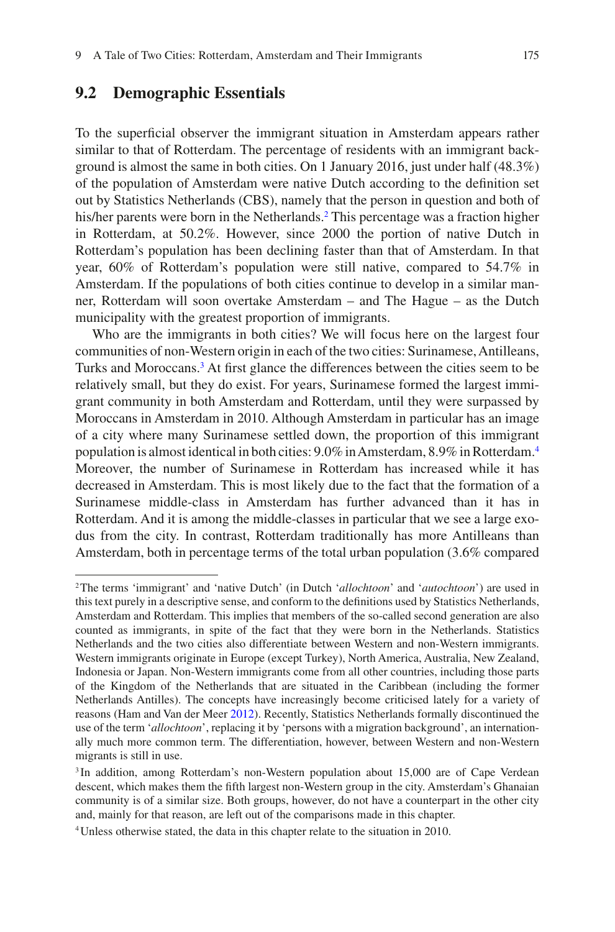### **9.2 Demographic Essentials**

To the superficial observer the immigrant situation in Amsterdam appears rather similar to that of Rotterdam. The percentage of residents with an immigrant background is almost the same in both cities. On 1 January 2016, just under half (48.3%) of the population of Amsterdam were native Dutch according to the definition set out by Statistics Netherlands (CBS), namely that the person in question and both of his/her parents were born in the Netherlands.<sup>2</sup> This percentage was a fraction higher in Rotterdam, at 50.2%. However, since 2000 the portion of native Dutch in Rotterdam's population has been declining faster than that of Amsterdam. In that year, 60% of Rotterdam's population were still native, compared to 54.7% in Amsterdam. If the populations of both cities continue to develop in a similar manner, Rotterdam will soon overtake Amsterdam – and The Hague – as the Dutch municipality with the greatest proportion of immigrants.

Who are the immigrants in both cities? We will focus here on the largest four communities of non-Western origin in each of the two cities: Surinamese, Antilleans, Turks and Moroccans.<sup>3</sup> At first glance the differences between the cities seem to be relatively small, but they do exist. For years, Surinamese formed the largest immigrant community in both Amsterdam and Rotterdam, until they were surpassed by Moroccans in Amsterdam in 2010. Although Amsterdam in particular has an image of a city where many Surinamese settled down, the proportion of this immigrant population is almost identical in both cities: 9.0% in Amsterdam, 8.9% in Rotterdam.4 Moreover, the number of Surinamese in Rotterdam has increased while it has decreased in Amsterdam. This is most likely due to the fact that the formation of a Surinamese middle-class in Amsterdam has further advanced than it has in Rotterdam. And it is among the middle-classes in particular that we see a large exodus from the city. In contrast, Rotterdam traditionally has more Antilleans than Amsterdam, both in percentage terms of the total urban population (3.6% compared

<sup>2</sup>The terms 'immigrant' and 'native Dutch' (in Dutch '*allochtoon*' and '*autochtoon*') are used in this text purely in a descriptive sense, and conform to the definitions used by Statistics Netherlands, Amsterdam and Rotterdam. This implies that members of the so-called second generation are also counted as immigrants, in spite of the fact that they were born in the Netherlands. Statistics Netherlands and the two cities also differentiate between Western and non-Western immigrants. Western immigrants originate in Europe (except Turkey), North America, Australia, New Zealand, Indonesia or Japan. Non-Western immigrants come from all other countries, including those parts of the Kingdom of the Netherlands that are situated in the Caribbean (including the former Netherlands Antilles). The concepts have increasingly become criticised lately for a variety of reasons (Ham and Van der Meer 2012). Recently, Statistics Netherlands formally discontinued the use of the term '*allochtoon*', replacing it by 'persons with a migration background', an internationally much more common term. The differentiation, however, between Western and non-Western migrants is still in use.

<sup>&</sup>lt;sup>3</sup> In addition, among Rotterdam's non-Western population about 15,000 are of Cape Verdean descent, which makes them the fifth largest non-Western group in the city. Amsterdam's Ghanaian community is of a similar size. Both groups, however, do not have a counterpart in the other city and, mainly for that reason, are left out of the comparisons made in this chapter.

<sup>4</sup>Unless otherwise stated, the data in this chapter relate to the situation in 2010.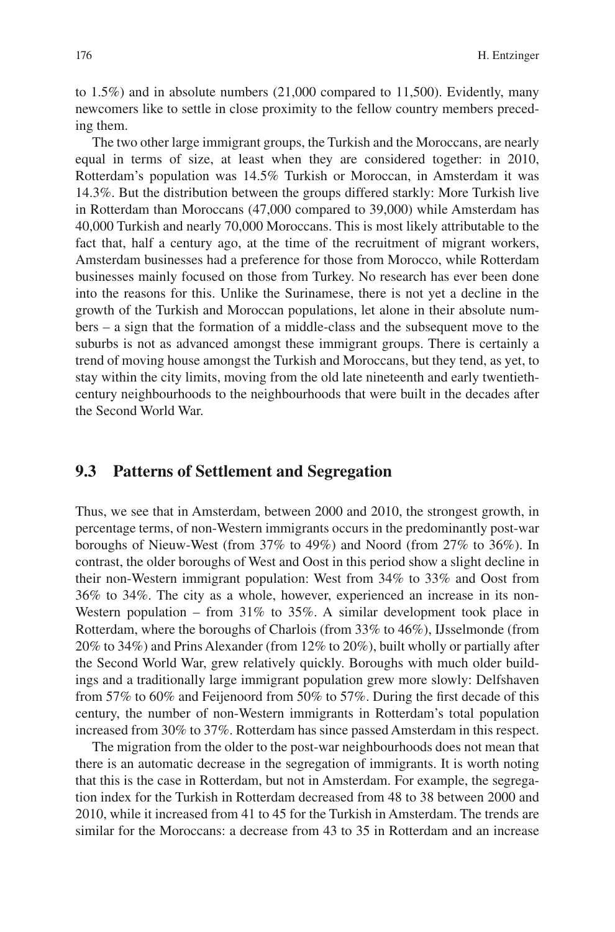to 1.5%) and in absolute numbers (21,000 compared to 11,500). Evidently, many newcomers like to settle in close proximity to the fellow country members preceding them.

The two other large immigrant groups, the Turkish and the Moroccans, are nearly equal in terms of size, at least when they are considered together: in 2010, Rotterdam's population was 14.5% Turkish or Moroccan, in Amsterdam it was 14.3%. But the distribution between the groups differed starkly: More Turkish live in Rotterdam than Moroccans (47,000 compared to 39,000) while Amsterdam has 40,000 Turkish and nearly 70,000 Moroccans. This is most likely attributable to the fact that, half a century ago, at the time of the recruitment of migrant workers, Amsterdam businesses had a preference for those from Morocco, while Rotterdam businesses mainly focused on those from Turkey. No research has ever been done into the reasons for this. Unlike the Surinamese, there is not yet a decline in the growth of the Turkish and Moroccan populations, let alone in their absolute numbers – a sign that the formation of a middle-class and the subsequent move to the suburbs is not as advanced amongst these immigrant groups. There is certainly a trend of moving house amongst the Turkish and Moroccans, but they tend, as yet, to stay within the city limits, moving from the old late nineteenth and early twentiethcentury neighbourhoods to the neighbourhoods that were built in the decades after the Second World War.

# **9.3 Patterns of Settlement and Segregation**

Thus, we see that in Amsterdam, between 2000 and 2010, the strongest growth, in percentage terms, of non-Western immigrants occurs in the predominantly post-war boroughs of Nieuw-West (from 37% to 49%) and Noord (from 27% to 36%). In contrast, the older boroughs of West and Oost in this period show a slight decline in their non-Western immigrant population: West from 34% to 33% and Oost from 36% to 34%. The city as a whole, however, experienced an increase in its non-Western population – from 31% to 35%. A similar development took place in Rotterdam, where the boroughs of Charlois (from 33% to 46%), IJsselmonde (from 20% to 34%) and Prins Alexander (from 12% to 20%), built wholly or partially after the Second World War, grew relatively quickly. Boroughs with much older buildings and a traditionally large immigrant population grew more slowly: Delfshaven from 57% to 60% and Feijenoord from 50% to 57%. During the first decade of this century, the number of non-Western immigrants in Rotterdam's total population increased from 30% to 37%. Rotterdam has since passed Amsterdam in this respect.

The migration from the older to the post-war neighbourhoods does not mean that there is an automatic decrease in the segregation of immigrants. It is worth noting that this is the case in Rotterdam, but not in Amsterdam. For example, the segregation index for the Turkish in Rotterdam decreased from 48 to 38 between 2000 and 2010, while it increased from 41 to 45 for the Turkish in Amsterdam. The trends are similar for the Moroccans: a decrease from 43 to 35 in Rotterdam and an increase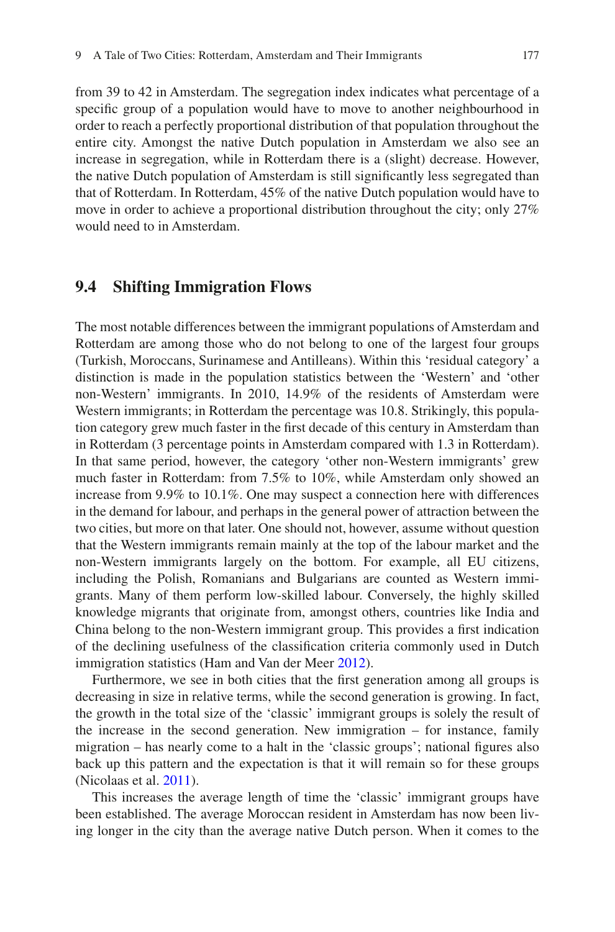from 39 to 42 in Amsterdam. The segregation index indicates what percentage of a specific group of a population would have to move to another neighbourhood in order to reach a perfectly proportional distribution of that population throughout the entire city. Amongst the native Dutch population in Amsterdam we also see an increase in segregation, while in Rotterdam there is a (slight) decrease. However, the native Dutch population of Amsterdam is still significantly less segregated than that of Rotterdam. In Rotterdam, 45% of the native Dutch population would have to move in order to achieve a proportional distribution throughout the city; only 27% would need to in Amsterdam.

## **9.4 Shifting Immigration Flows**

The most notable differences between the immigrant populations of Amsterdam and Rotterdam are among those who do not belong to one of the largest four groups (Turkish, Moroccans, Surinamese and Antilleans). Within this 'residual category' a distinction is made in the population statistics between the 'Western' and 'other non-Western' immigrants. In 2010, 14.9% of the residents of Amsterdam were Western immigrants; in Rotterdam the percentage was 10.8. Strikingly, this population category grew much faster in the first decade of this century in Amsterdam than in Rotterdam (3 percentage points in Amsterdam compared with 1.3 in Rotterdam). In that same period, however, the category 'other non-Western immigrants' grew much faster in Rotterdam: from 7.5% to 10%, while Amsterdam only showed an increase from 9.9% to 10.1%. One may suspect a connection here with differences in the demand for labour, and perhaps in the general power of attraction between the two cities, but more on that later. One should not, however, assume without question that the Western immigrants remain mainly at the top of the labour market and the non-Western immigrants largely on the bottom. For example, all EU citizens, including the Polish, Romanians and Bulgarians are counted as Western immigrants. Many of them perform low-skilled labour. Conversely, the highly skilled knowledge migrants that originate from, amongst others, countries like India and China belong to the non-Western immigrant group. This provides a first indication of the declining usefulness of the classification criteria commonly used in Dutch immigration statistics (Ham and Van der Meer 2012).

Furthermore, we see in both cities that the first generation among all groups is decreasing in size in relative terms, while the second generation is growing. In fact, the growth in the total size of the 'classic' immigrant groups is solely the result of the increase in the second generation. New immigration – for instance, family migration – has nearly come to a halt in the 'classic groups'; national figures also back up this pattern and the expectation is that it will remain so for these groups (Nicolaas et al. 2011).

This increases the average length of time the 'classic' immigrant groups have been established. The average Moroccan resident in Amsterdam has now been living longer in the city than the average native Dutch person. When it comes to the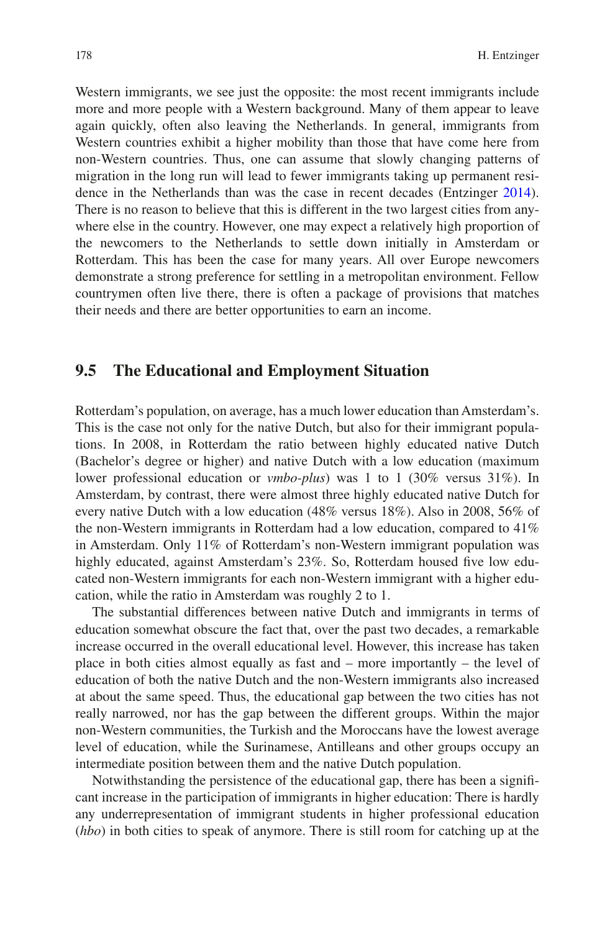Western immigrants, we see just the opposite: the most recent immigrants include more and more people with a Western background. Many of them appear to leave again quickly, often also leaving the Netherlands. In general, immigrants from Western countries exhibit a higher mobility than those that have come here from non-Western countries. Thus, one can assume that slowly changing patterns of migration in the long run will lead to fewer immigrants taking up permanent residence in the Netherlands than was the case in recent decades (Entzinger 2014). There is no reason to believe that this is different in the two largest cities from anywhere else in the country. However, one may expect a relatively high proportion of the newcomers to the Netherlands to settle down initially in Amsterdam or Rotterdam. This has been the case for many years. All over Europe newcomers demonstrate a strong preference for settling in a metropolitan environment. Fellow countrymen often live there, there is often a package of provisions that matches their needs and there are better opportunities to earn an income.

#### **9.5 The Educational and Employment Situation**

Rotterdam's population, on average, has a much lower education than Amsterdam's. This is the case not only for the native Dutch, but also for their immigrant populations. In 2008, in Rotterdam the ratio between highly educated native Dutch (Bachelor's degree or higher) and native Dutch with a low education (maximum lower professional education or *vmbo-plus*) was 1 to 1 (30% versus 31%). In Amsterdam, by contrast, there were almost three highly educated native Dutch for every native Dutch with a low education (48% versus 18%). Also in 2008, 56% of the non-Western immigrants in Rotterdam had a low education, compared to 41% in Amsterdam. Only 11% of Rotterdam's non-Western immigrant population was highly educated, against Amsterdam's 23%. So, Rotterdam housed five low educated non-Western immigrants for each non-Western immigrant with a higher education, while the ratio in Amsterdam was roughly 2 to 1.

The substantial differences between native Dutch and immigrants in terms of education somewhat obscure the fact that, over the past two decades, a remarkable increase occurred in the overall educational level. However, this increase has taken place in both cities almost equally as fast and – more importantly – the level of education of both the native Dutch and the non-Western immigrants also increased at about the same speed. Thus, the educational gap between the two cities has not really narrowed, nor has the gap between the different groups. Within the major non-Western communities, the Turkish and the Moroccans have the lowest average level of education, while the Surinamese, Antilleans and other groups occupy an intermediate position between them and the native Dutch population.

Notwithstanding the persistence of the educational gap, there has been a significant increase in the participation of immigrants in higher education: There is hardly any underrepresentation of immigrant students in higher professional education (*hbo*) in both cities to speak of anymore. There is still room for catching up at the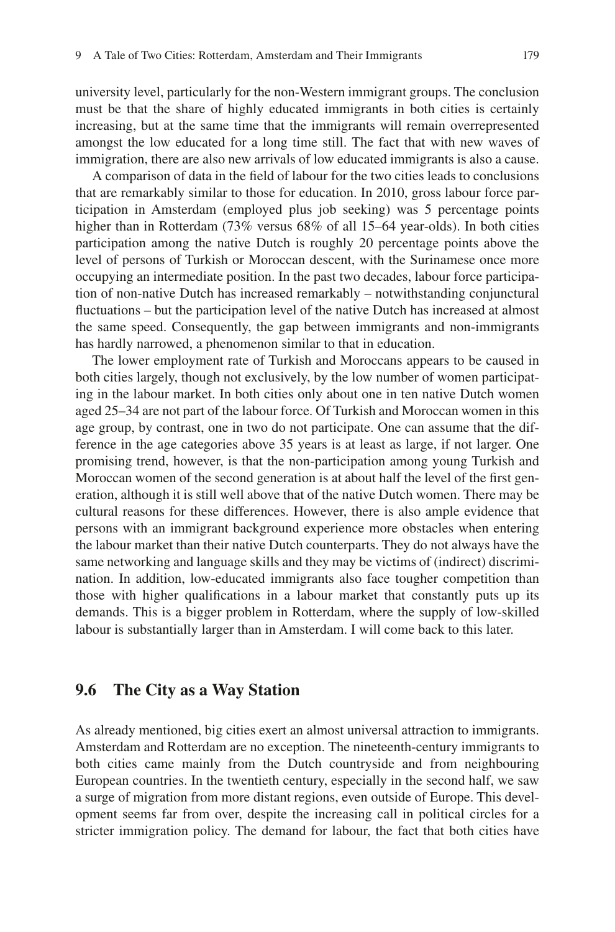university level, particularly for the non-Western immigrant groups. The conclusion must be that the share of highly educated immigrants in both cities is certainly increasing, but at the same time that the immigrants will remain overrepresented amongst the low educated for a long time still. The fact that with new waves of immigration, there are also new arrivals of low educated immigrants is also a cause.

A comparison of data in the field of labour for the two cities leads to conclusions that are remarkably similar to those for education. In 2010, gross labour force participation in Amsterdam (employed plus job seeking) was 5 percentage points higher than in Rotterdam (73% versus 68% of all 15–64 year-olds). In both cities participation among the native Dutch is roughly 20 percentage points above the level of persons of Turkish or Moroccan descent, with the Surinamese once more occupying an intermediate position. In the past two decades, labour force participation of non-native Dutch has increased remarkably – notwithstanding conjunctural fluctuations – but the participation level of the native Dutch has increased at almost the same speed. Consequently, the gap between immigrants and non-immigrants has hardly narrowed, a phenomenon similar to that in education.

The lower employment rate of Turkish and Moroccans appears to be caused in both cities largely, though not exclusively, by the low number of women participating in the labour market. In both cities only about one in ten native Dutch women aged 25–34 are not part of the labour force. Of Turkish and Moroccan women in this age group, by contrast, one in two do not participate. One can assume that the difference in the age categories above 35 years is at least as large, if not larger. One promising trend, however, is that the non-participation among young Turkish and Moroccan women of the second generation is at about half the level of the first generation, although it is still well above that of the native Dutch women. There may be cultural reasons for these differences. However, there is also ample evidence that persons with an immigrant background experience more obstacles when entering the labour market than their native Dutch counterparts. They do not always have the same networking and language skills and they may be victims of (indirect) discrimination. In addition, low-educated immigrants also face tougher competition than those with higher qualifications in a labour market that constantly puts up its demands. This is a bigger problem in Rotterdam, where the supply of low-skilled labour is substantially larger than in Amsterdam. I will come back to this later.

# **9.6 The City as a Way Station**

As already mentioned, big cities exert an almost universal attraction to immigrants. Amsterdam and Rotterdam are no exception. The nineteenth-century immigrants to both cities came mainly from the Dutch countryside and from neighbouring European countries. In the twentieth century, especially in the second half, we saw a surge of migration from more distant regions, even outside of Europe. This development seems far from over, despite the increasing call in political circles for a stricter immigration policy. The demand for labour, the fact that both cities have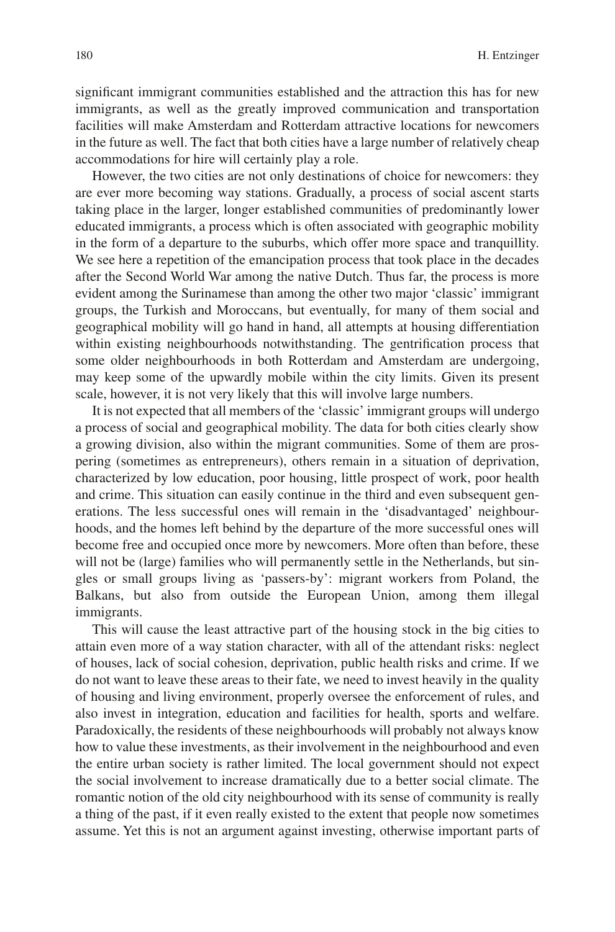significant immigrant communities established and the attraction this has for new immigrants, as well as the greatly improved communication and transportation facilities will make Amsterdam and Rotterdam attractive locations for newcomers in the future as well. The fact that both cities have a large number of relatively cheap accommodations for hire will certainly play a role.

However, the two cities are not only destinations of choice for newcomers: they are ever more becoming way stations. Gradually, a process of social ascent starts taking place in the larger, longer established communities of predominantly lower educated immigrants, a process which is often associated with geographic mobility in the form of a departure to the suburbs, which offer more space and tranquillity. We see here a repetition of the emancipation process that took place in the decades after the Second World War among the native Dutch. Thus far, the process is more evident among the Surinamese than among the other two major 'classic' immigrant groups, the Turkish and Moroccans, but eventually, for many of them social and geographical mobility will go hand in hand, all attempts at housing differentiation within existing neighbourhoods notwithstanding. The gentrification process that some older neighbourhoods in both Rotterdam and Amsterdam are undergoing, may keep some of the upwardly mobile within the city limits. Given its present scale, however, it is not very likely that this will involve large numbers.

It is not expected that all members of the 'classic' immigrant groups will undergo a process of social and geographical mobility. The data for both cities clearly show a growing division, also within the migrant communities. Some of them are prospering (sometimes as entrepreneurs), others remain in a situation of deprivation, characterized by low education, poor housing, little prospect of work, poor health and crime. This situation can easily continue in the third and even subsequent generations. The less successful ones will remain in the 'disadvantaged' neighbourhoods, and the homes left behind by the departure of the more successful ones will become free and occupied once more by newcomers. More often than before, these will not be (large) families who will permanently settle in the Netherlands, but singles or small groups living as 'passers-by': migrant workers from Poland, the Balkans, but also from outside the European Union, among them illegal immigrants.

This will cause the least attractive part of the housing stock in the big cities to attain even more of a way station character, with all of the attendant risks: neglect of houses, lack of social cohesion, deprivation, public health risks and crime. If we do not want to leave these areas to their fate, we need to invest heavily in the quality of housing and living environment, properly oversee the enforcement of rules, and also invest in integration, education and facilities for health, sports and welfare. Paradoxically, the residents of these neighbourhoods will probably not always know how to value these investments, as their involvement in the neighbourhood and even the entire urban society is rather limited. The local government should not expect the social involvement to increase dramatically due to a better social climate. The romantic notion of the old city neighbourhood with its sense of community is really a thing of the past, if it even really existed to the extent that people now sometimes assume. Yet this is not an argument against investing, otherwise important parts of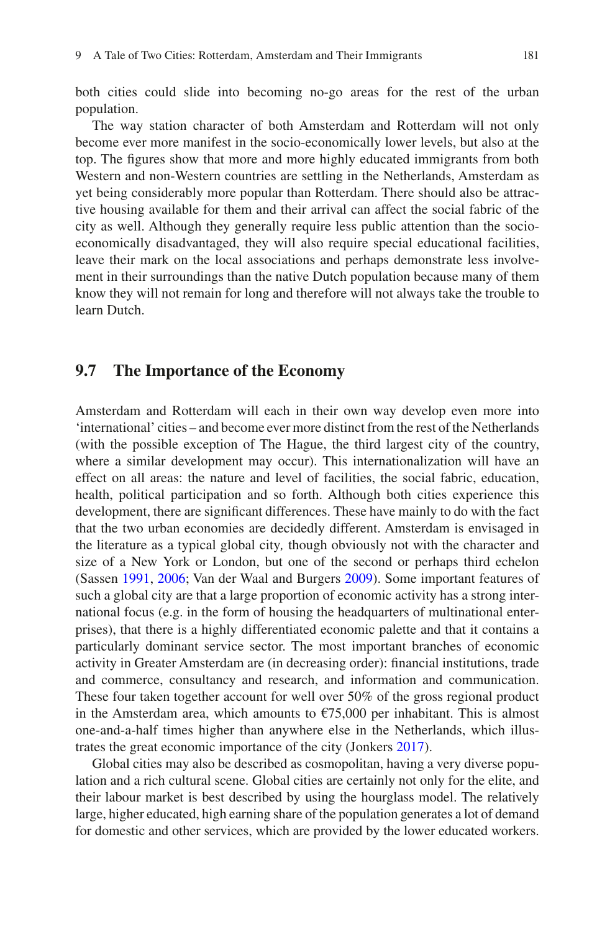both cities could slide into becoming no-go areas for the rest of the urban population.

The way station character of both Amsterdam and Rotterdam will not only become ever more manifest in the socio-economically lower levels, but also at the top. The figures show that more and more highly educated immigrants from both Western and non-Western countries are settling in the Netherlands, Amsterdam as yet being considerably more popular than Rotterdam. There should also be attractive housing available for them and their arrival can affect the social fabric of the city as well. Although they generally require less public attention than the socioeconomically disadvantaged, they will also require special educational facilities, leave their mark on the local associations and perhaps demonstrate less involvement in their surroundings than the native Dutch population because many of them know they will not remain for long and therefore will not always take the trouble to learn Dutch.

### **9.7 The Importance of the Economy**

Amsterdam and Rotterdam will each in their own way develop even more into 'international' cities – and become ever more distinct from the rest of the Netherlands (with the possible exception of The Hague, the third largest city of the country, where a similar development may occur). This internationalization will have an effect on all areas: the nature and level of facilities, the social fabric, education, health, political participation and so forth. Although both cities experience this development, there are significant differences. These have mainly to do with the fact that the two urban economies are decidedly different. Amsterdam is envisaged in the literature as a typical global city*,* though obviously not with the character and size of a New York or London, but one of the second or perhaps third echelon (Sassen 1991, 2006; Van der Waal and Burgers 2009). Some important features of such a global city are that a large proportion of economic activity has a strong international focus (e.g. in the form of housing the headquarters of multinational enterprises), that there is a highly differentiated economic palette and that it contains a particularly dominant service sector. The most important branches of economic activity in Greater Amsterdam are (in decreasing order): financial institutions, trade and commerce, consultancy and research, and information and communication. These four taken together account for well over 50% of the gross regional product in the Amsterdam area, which amounts to  $\epsilon$ 75,000 per inhabitant. This is almost one-and-a-half times higher than anywhere else in the Netherlands, which illustrates the great economic importance of the city (Jonkers 2017).

Global cities may also be described as cosmopolitan, having a very diverse population and a rich cultural scene. Global cities are certainly not only for the elite, and their labour market is best described by using the hourglass model. The relatively large, higher educated, high earning share of the population generates a lot of demand for domestic and other services, which are provided by the lower educated workers.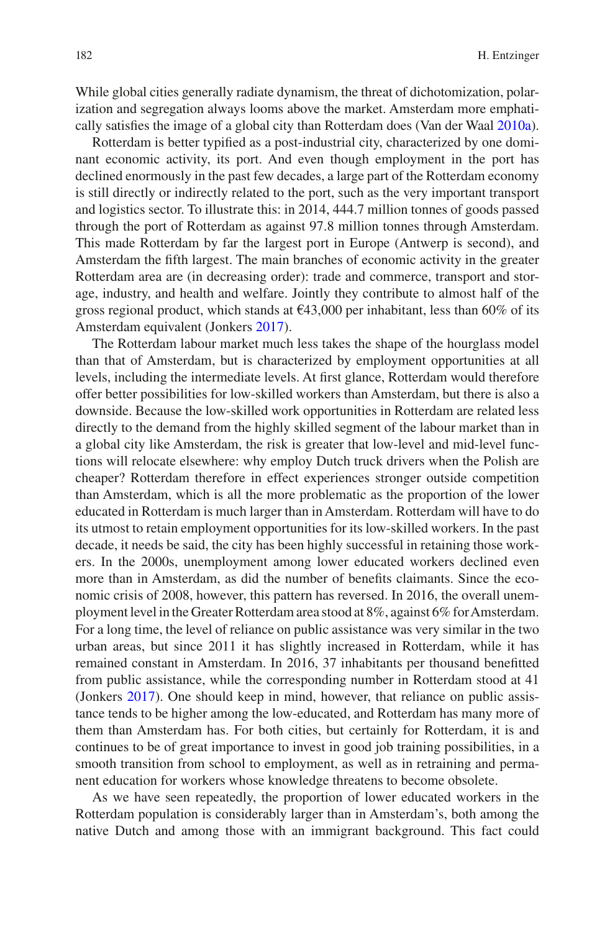While global cities generally radiate dynamism, the threat of dichotomization, polarization and segregation always looms above the market. Amsterdam more emphatically satisfies the image of a global city than Rotterdam does (Van der Waal 2010a).

Rotterdam is better typified as a post-industrial city, characterized by one dominant economic activity, its port. And even though employment in the port has declined enormously in the past few decades, a large part of the Rotterdam economy is still directly or indirectly related to the port, such as the very important transport and logistics sector. To illustrate this: in 2014, 444.7 million tonnes of goods passed through the port of Rotterdam as against 97.8 million tonnes through Amsterdam. This made Rotterdam by far the largest port in Europe (Antwerp is second), and Amsterdam the fifth largest. The main branches of economic activity in the greater Rotterdam area are (in decreasing order): trade and commerce, transport and storage, industry, and health and welfare. Jointly they contribute to almost half of the gross regional product, which stands at  $\epsilon$ 43,000 per inhabitant, less than 60% of its Amsterdam equivalent (Jonkers 2017).

The Rotterdam labour market much less takes the shape of the hourglass model than that of Amsterdam, but is characterized by employment opportunities at all levels, including the intermediate levels. At first glance, Rotterdam would therefore offer better possibilities for low-skilled workers than Amsterdam, but there is also a downside. Because the low-skilled work opportunities in Rotterdam are related less directly to the demand from the highly skilled segment of the labour market than in a global city like Amsterdam, the risk is greater that low-level and mid-level functions will relocate elsewhere: why employ Dutch truck drivers when the Polish are cheaper? Rotterdam therefore in effect experiences stronger outside competition than Amsterdam, which is all the more problematic as the proportion of the lower educated in Rotterdam is much larger than in Amsterdam. Rotterdam will have to do its utmost to retain employment opportunities for its low-skilled workers. In the past decade, it needs be said, the city has been highly successful in retaining those workers. In the 2000s, unemployment among lower educated workers declined even more than in Amsterdam, as did the number of benefits claimants. Since the economic crisis of 2008, however, this pattern has reversed. In 2016, the overall unemployment level in the Greater Rotterdam area stood at 8%, against 6% for Amsterdam. For a long time, the level of reliance on public assistance was very similar in the two urban areas, but since 2011 it has slightly increased in Rotterdam, while it has remained constant in Amsterdam. In 2016, 37 inhabitants per thousand benefitted from public assistance, while the corresponding number in Rotterdam stood at 41 (Jonkers 2017). One should keep in mind, however, that reliance on public assistance tends to be higher among the low-educated, and Rotterdam has many more of them than Amsterdam has. For both cities, but certainly for Rotterdam, it is and continues to be of great importance to invest in good job training possibilities, in a smooth transition from school to employment, as well as in retraining and permanent education for workers whose knowledge threatens to become obsolete.

As we have seen repeatedly, the proportion of lower educated workers in the Rotterdam population is considerably larger than in Amsterdam's, both among the native Dutch and among those with an immigrant background. This fact could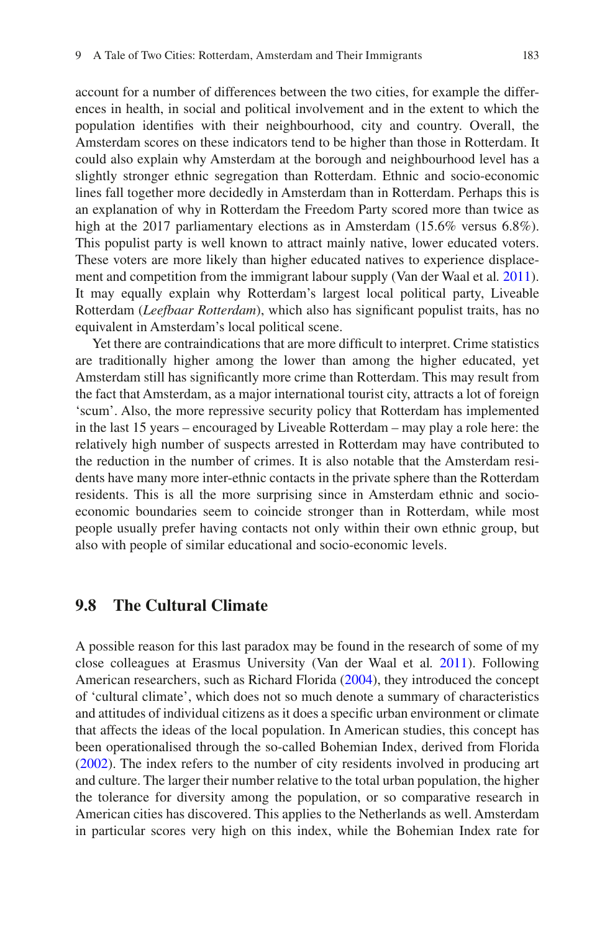account for a number of differences between the two cities, for example the differences in health, in social and political involvement and in the extent to which the population identifies with their neighbourhood, city and country. Overall, the Amsterdam scores on these indicators tend to be higher than those in Rotterdam. It could also explain why Amsterdam at the borough and neighbourhood level has a slightly stronger ethnic segregation than Rotterdam. Ethnic and socio-economic lines fall together more decidedly in Amsterdam than in Rotterdam. Perhaps this is an explanation of why in Rotterdam the Freedom Party scored more than twice as high at the 2017 parliamentary elections as in Amsterdam (15.6% versus 6.8%). This populist party is well known to attract mainly native, lower educated voters. These voters are more likely than higher educated natives to experience displacement and competition from the immigrant labour supply (Van der Waal et al*.* 2011). It may equally explain why Rotterdam's largest local political party, Liveable Rotterdam (*Leefbaar Rotterdam*), which also has significant populist traits, has no equivalent in Amsterdam's local political scene.

Yet there are contraindications that are more difficult to interpret. Crime statistics are traditionally higher among the lower than among the higher educated, yet Amsterdam still has significantly more crime than Rotterdam. This may result from the fact that Amsterdam, as a major international tourist city, attracts a lot of foreign 'scum'. Also, the more repressive security policy that Rotterdam has implemented in the last 15 years – encouraged by Liveable Rotterdam – may play a role here: the relatively high number of suspects arrested in Rotterdam may have contributed to the reduction in the number of crimes. It is also notable that the Amsterdam residents have many more inter-ethnic contacts in the private sphere than the Rotterdam residents. This is all the more surprising since in Amsterdam ethnic and socioeconomic boundaries seem to coincide stronger than in Rotterdam, while most people usually prefer having contacts not only within their own ethnic group, but also with people of similar educational and socio-economic levels.

### **9.8 The Cultural Climate**

A possible reason for this last paradox may be found in the research of some of my close colleagues at Erasmus University (Van der Waal et al*.* 2011). Following American researchers, such as Richard Florida (2004), they introduced the concept of 'cultural climate', which does not so much denote a summary of characteristics and attitudes of individual citizens as it does a specific urban environment or climate that affects the ideas of the local population. In American studies, this concept has been operationalised through the so-called Bohemian Index, derived from Florida (2002). The index refers to the number of city residents involved in producing art and culture. The larger their number relative to the total urban population, the higher the tolerance for diversity among the population, or so comparative research in American cities has discovered. This applies to the Netherlands as well. Amsterdam in particular scores very high on this index, while the Bohemian Index rate for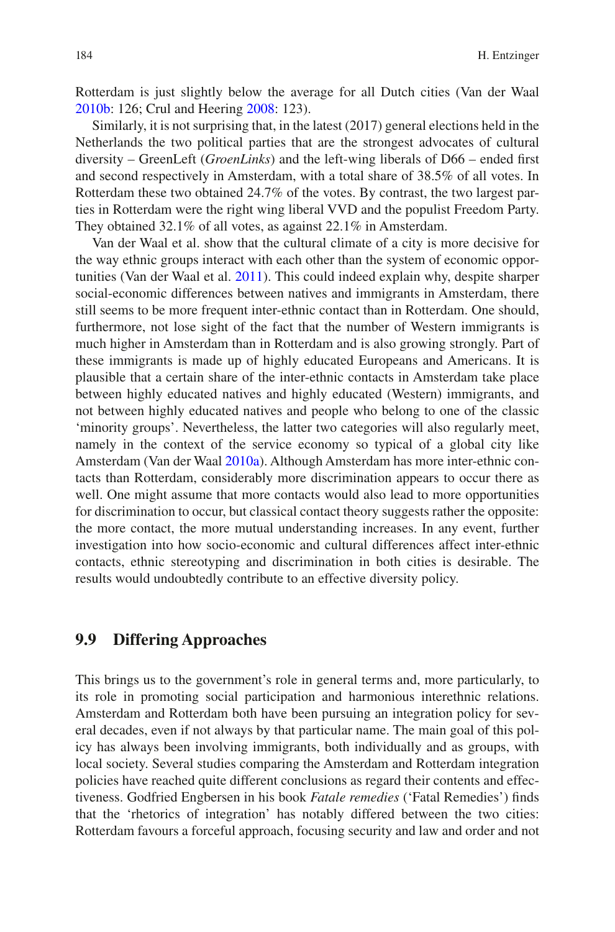Rotterdam is just slightly below the average for all Dutch cities (Van der Waal 2010b: 126; Crul and Heering 2008: 123).

Similarly, it is not surprising that, in the latest (2017) general elections held in the Netherlands the two political parties that are the strongest advocates of cultural diversity – GreenLeft (*GroenLinks*) and the left-wing liberals of D66 – ended first and second respectively in Amsterdam, with a total share of 38.5% of all votes. In Rotterdam these two obtained 24.7% of the votes. By contrast, the two largest parties in Rotterdam were the right wing liberal VVD and the populist Freedom Party. They obtained 32.1% of all votes, as against 22.1% in Amsterdam.

Van der Waal et al. show that the cultural climate of a city is more decisive for the way ethnic groups interact with each other than the system of economic opportunities (Van der Waal et al. 2011). This could indeed explain why, despite sharper social-economic differences between natives and immigrants in Amsterdam, there still seems to be more frequent inter-ethnic contact than in Rotterdam. One should, furthermore, not lose sight of the fact that the number of Western immigrants is much higher in Amsterdam than in Rotterdam and is also growing strongly. Part of these immigrants is made up of highly educated Europeans and Americans. It is plausible that a certain share of the inter-ethnic contacts in Amsterdam take place between highly educated natives and highly educated (Western) immigrants, and not between highly educated natives and people who belong to one of the classic 'minority groups'. Nevertheless, the latter two categories will also regularly meet, namely in the context of the service economy so typical of a global city like Amsterdam (Van der Waal 2010a). Although Amsterdam has more inter-ethnic contacts than Rotterdam, considerably more discrimination appears to occur there as well. One might assume that more contacts would also lead to more opportunities for discrimination to occur, but classical contact theory suggests rather the opposite: the more contact, the more mutual understanding increases. In any event, further investigation into how socio-economic and cultural differences affect inter-ethnic contacts, ethnic stereotyping and discrimination in both cities is desirable. The results would undoubtedly contribute to an effective diversity policy.

## **9.9 Differing Approaches**

This brings us to the government's role in general terms and, more particularly, to its role in promoting social participation and harmonious interethnic relations. Amsterdam and Rotterdam both have been pursuing an integration policy for several decades, even if not always by that particular name. The main goal of this policy has always been involving immigrants, both individually and as groups, with local society. Several studies comparing the Amsterdam and Rotterdam integration policies have reached quite different conclusions as regard their contents and effectiveness. Godfried Engbersen in his book *Fatale remedies* ('Fatal Remedies') finds that the 'rhetorics of integration' has notably differed between the two cities: Rotterdam favours a forceful approach, focusing security and law and order and not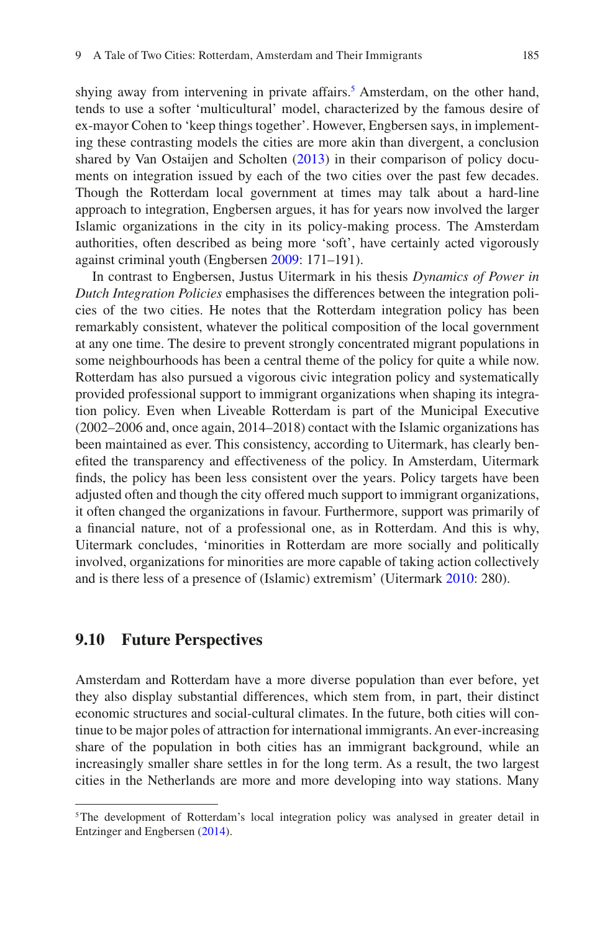shying away from intervening in private affairs.<sup>5</sup> Amsterdam, on the other hand, tends to use a softer 'multicultural' model, characterized by the famous desire of ex-mayor Cohen to 'keep things together'. However, Engbersen says, in implementing these contrasting models the cities are more akin than divergent, a conclusion shared by Van Ostaijen and Scholten (2013) in their comparison of policy documents on integration issued by each of the two cities over the past few decades. Though the Rotterdam local government at times may talk about a hard-line approach to integration, Engbersen argues, it has for years now involved the larger Islamic organizations in the city in its policy-making process. The Amsterdam authorities, often described as being more 'soft', have certainly acted vigorously against criminal youth (Engbersen 2009: 171–191).

In contrast to Engbersen, Justus Uitermark in his thesis *Dynamics of Power in Dutch Integration Policies* emphasises the differences between the integration policies of the two cities. He notes that the Rotterdam integration policy has been remarkably consistent, whatever the political composition of the local government at any one time. The desire to prevent strongly concentrated migrant populations in some neighbourhoods has been a central theme of the policy for quite a while now. Rotterdam has also pursued a vigorous civic integration policy and systematically provided professional support to immigrant organizations when shaping its integration policy. Even when Liveable Rotterdam is part of the Municipal Executive (2002–2006 and, once again, 2014–2018) contact with the Islamic organizations has been maintained as ever. This consistency, according to Uitermark, has clearly benefited the transparency and effectiveness of the policy. In Amsterdam, Uitermark finds, the policy has been less consistent over the years. Policy targets have been adjusted often and though the city offered much support to immigrant organizations, it often changed the organizations in favour. Furthermore, support was primarily of a financial nature, not of a professional one, as in Rotterdam. And this is why, Uitermark concludes, 'minorities in Rotterdam are more socially and politically involved, organizations for minorities are more capable of taking action collectively and is there less of a presence of (Islamic) extremism' (Uitermark 2010: 280).

#### **9.10 Future Perspectives**

Amsterdam and Rotterdam have a more diverse population than ever before, yet they also display substantial differences, which stem from, in part, their distinct economic structures and social-cultural climates. In the future, both cities will continue to be major poles of attraction for international immigrants. An ever-increasing share of the population in both cities has an immigrant background, while an increasingly smaller share settles in for the long term. As a result, the two largest cities in the Netherlands are more and more developing into way stations. Many

<sup>5</sup>The development of Rotterdam's local integration policy was analysed in greater detail in Entzinger and Engbersen (2014).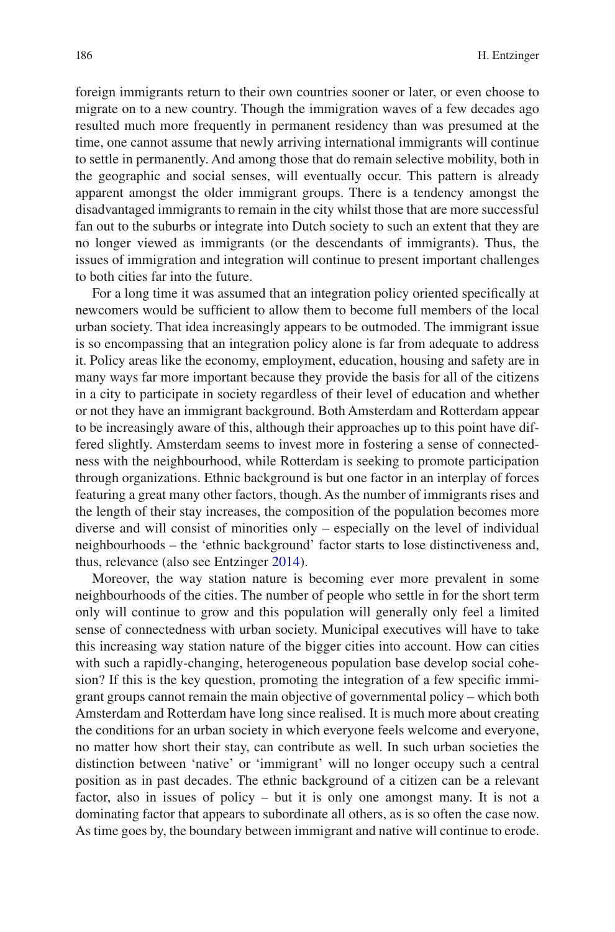foreign immigrants return to their own countries sooner or later, or even choose to migrate on to a new country. Though the immigration waves of a few decades ago resulted much more frequently in permanent residency than was presumed at the time, one cannot assume that newly arriving international immigrants will continue to settle in permanently. And among those that do remain selective mobility, both in the geographic and social senses, will eventually occur. This pattern is already apparent amongst the older immigrant groups. There is a tendency amongst the disadvantaged immigrants to remain in the city whilst those that are more successful fan out to the suburbs or integrate into Dutch society to such an extent that they are no longer viewed as immigrants (or the descendants of immigrants). Thus, the issues of immigration and integration will continue to present important challenges to both cities far into the future.

For a long time it was assumed that an integration policy oriented specifically at newcomers would be sufficient to allow them to become full members of the local urban society. That idea increasingly appears to be outmoded. The immigrant issue is so encompassing that an integration policy alone is far from adequate to address it. Policy areas like the economy, employment, education, housing and safety are in many ways far more important because they provide the basis for all of the citizens in a city to participate in society regardless of their level of education and whether or not they have an immigrant background. Both Amsterdam and Rotterdam appear to be increasingly aware of this, although their approaches up to this point have differed slightly. Amsterdam seems to invest more in fostering a sense of connectedness with the neighbourhood, while Rotterdam is seeking to promote participation through organizations. Ethnic background is but one factor in an interplay of forces featuring a great many other factors, though. As the number of immigrants rises and the length of their stay increases, the composition of the population becomes more diverse and will consist of minorities only – especially on the level of individual neighbourhoods – the 'ethnic background' factor starts to lose distinctiveness and, thus, relevance (also see Entzinger 2014).

Moreover, the way station nature is becoming ever more prevalent in some neighbourhoods of the cities. The number of people who settle in for the short term only will continue to grow and this population will generally only feel a limited sense of connectedness with urban society. Municipal executives will have to take this increasing way station nature of the bigger cities into account. How can cities with such a rapidly-changing, heterogeneous population base develop social cohesion? If this is the key question, promoting the integration of a few specific immigrant groups cannot remain the main objective of governmental policy – which both Amsterdam and Rotterdam have long since realised. It is much more about creating the conditions for an urban society in which everyone feels welcome and everyone, no matter how short their stay, can contribute as well. In such urban societies the distinction between 'native' or 'immigrant' will no longer occupy such a central position as in past decades. The ethnic background of a citizen can be a relevant factor, also in issues of policy – but it is only one amongst many. It is not a dominating factor that appears to subordinate all others, as is so often the case now. As time goes by, the boundary between immigrant and native will continue to erode.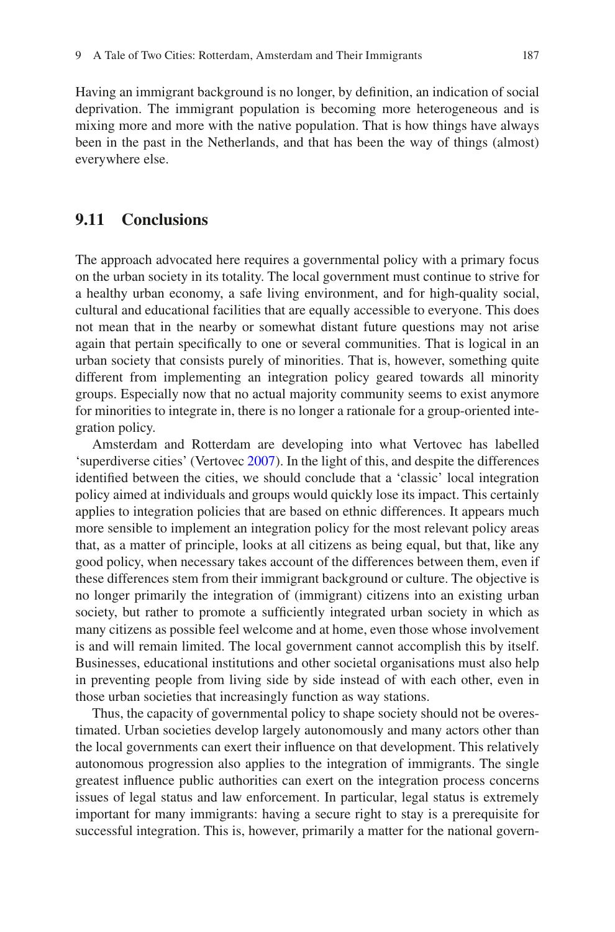Having an immigrant background is no longer, by definition, an indication of social deprivation. The immigrant population is becoming more heterogeneous and is mixing more and more with the native population. That is how things have always been in the past in the Netherlands, and that has been the way of things (almost) everywhere else.

# **9.11 Conclusions**

The approach advocated here requires a governmental policy with a primary focus on the urban society in its totality. The local government must continue to strive for a healthy urban economy, a safe living environment, and for high-quality social, cultural and educational facilities that are equally accessible to everyone. This does not mean that in the nearby or somewhat distant future questions may not arise again that pertain specifically to one or several communities. That is logical in an urban society that consists purely of minorities. That is, however, something quite different from implementing an integration policy geared towards all minority groups. Especially now that no actual majority community seems to exist anymore for minorities to integrate in, there is no longer a rationale for a group-oriented integration policy.

Amsterdam and Rotterdam are developing into what Vertovec has labelled 'superdiverse cities' (Vertovec 2007). In the light of this, and despite the differences identified between the cities, we should conclude that a 'classic' local integration policy aimed at individuals and groups would quickly lose its impact. This certainly applies to integration policies that are based on ethnic differences. It appears much more sensible to implement an integration policy for the most relevant policy areas that, as a matter of principle, looks at all citizens as being equal, but that, like any good policy, when necessary takes account of the differences between them, even if these differences stem from their immigrant background or culture. The objective is no longer primarily the integration of (immigrant) citizens into an existing urban society, but rather to promote a sufficiently integrated urban society in which as many citizens as possible feel welcome and at home, even those whose involvement is and will remain limited. The local government cannot accomplish this by itself. Businesses, educational institutions and other societal organisations must also help in preventing people from living side by side instead of with each other, even in those urban societies that increasingly function as way stations.

Thus, the capacity of governmental policy to shape society should not be overestimated. Urban societies develop largely autonomously and many actors other than the local governments can exert their influence on that development. This relatively autonomous progression also applies to the integration of immigrants. The single greatest influence public authorities can exert on the integration process concerns issues of legal status and law enforcement. In particular, legal status is extremely important for many immigrants: having a secure right to stay is a prerequisite for successful integration. This is, however, primarily a matter for the national govern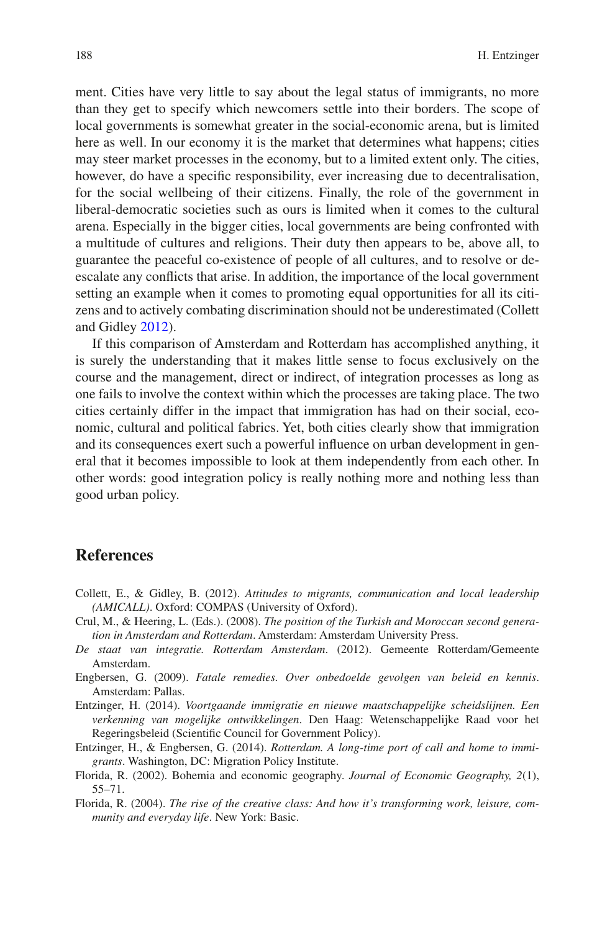ment. Cities have very little to say about the legal status of immigrants, no more than they get to specify which newcomers settle into their borders. The scope of local governments is somewhat greater in the social-economic arena, but is limited here as well. In our economy it is the market that determines what happens; cities may steer market processes in the economy, but to a limited extent only. The cities, however, do have a specific responsibility, ever increasing due to decentralisation, for the social wellbeing of their citizens. Finally, the role of the government in liberal-democratic societies such as ours is limited when it comes to the cultural arena. Especially in the bigger cities, local governments are being confronted with a multitude of cultures and religions. Their duty then appears to be, above all, to guarantee the peaceful co-existence of people of all cultures, and to resolve or deescalate any conflicts that arise. In addition, the importance of the local government setting an example when it comes to promoting equal opportunities for all its citizens and to actively combating discrimination should not be underestimated (Collett and Gidley 2012).

If this comparison of Amsterdam and Rotterdam has accomplished anything, it is surely the understanding that it makes little sense to focus exclusively on the course and the management, direct or indirect, of integration processes as long as one fails to involve the context within which the processes are taking place. The two cities certainly differ in the impact that immigration has had on their social, economic, cultural and political fabrics. Yet, both cities clearly show that immigration and its consequences exert such a powerful influence on urban development in general that it becomes impossible to look at them independently from each other. In other words: good integration policy is really nothing more and nothing less than good urban policy.

# **References**

- Collett, E., & Gidley, B. (2012). *Attitudes to migrants, communication and local leadership (AMICALL)*. Oxford: COMPAS (University of Oxford).
- Crul, M., & Heering, L. (Eds.). (2008). *The position of the Turkish and Moroccan second generation in Amsterdam and Rotterdam*. Amsterdam: Amsterdam University Press.
- *De staat van integratie. Rotterdam Amsterdam*. (2012). Gemeente Rotterdam/Gemeente Amsterdam.
- Engbersen, G. (2009). *Fatale remedies. Over onbedoelde gevolgen van beleid en kennis*. Amsterdam: Pallas.
- Entzinger, H. (2014). *Voortgaande immigratie en nieuwe maatschappelijke scheidslijnen. Een verkenning van mogelijke ontwikkelingen*. Den Haag: Wetenschappelijke Raad voor het Regeringsbeleid (Scientific Council for Government Policy).
- Entzinger, H., & Engbersen, G. (2014). *Rotterdam. A long-time port of call and home to immigrants*. Washington, DC: Migration Policy Institute.
- Florida, R. (2002). Bohemia and economic geography. *Journal of Economic Geography, 2*(1), 55–71.
- Florida, R. (2004). *The rise of the creative class: And how it's transforming work, leisure, community and everyday life*. New York: Basic.